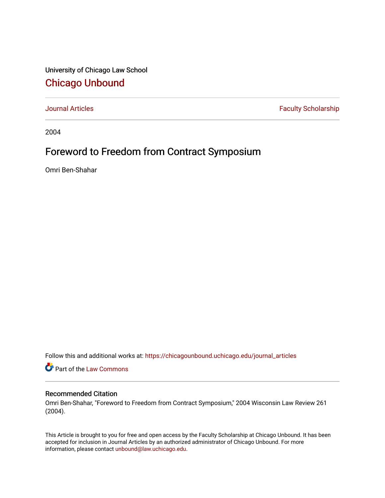University of Chicago Law School [Chicago Unbound](https://chicagounbound.uchicago.edu/)

[Journal Articles](https://chicagounbound.uchicago.edu/journal_articles) **Faculty Scholarship Faculty Scholarship** 

2004

# Foreword to Freedom from Contract Symposium

Omri Ben-Shahar

Follow this and additional works at: [https://chicagounbound.uchicago.edu/journal\\_articles](https://chicagounbound.uchicago.edu/journal_articles?utm_source=chicagounbound.uchicago.edu%2Fjournal_articles%2F1075&utm_medium=PDF&utm_campaign=PDFCoverPages) 

Part of the [Law Commons](http://network.bepress.com/hgg/discipline/578?utm_source=chicagounbound.uchicago.edu%2Fjournal_articles%2F1075&utm_medium=PDF&utm_campaign=PDFCoverPages)

# Recommended Citation

Omri Ben-Shahar, "Foreword to Freedom from Contract Symposium," 2004 Wisconsin Law Review 261 (2004).

This Article is brought to you for free and open access by the Faculty Scholarship at Chicago Unbound. It has been accepted for inclusion in Journal Articles by an authorized administrator of Chicago Unbound. For more information, please contact [unbound@law.uchicago.edu](mailto:unbound@law.uchicago.edu).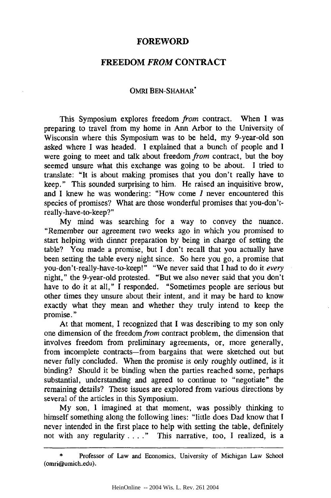## **FOREWORD**

## FREEDOM *FROM* **CONTRACT**

#### OMRI BEN-SHAHAR\*

This Symposium explores freedom *from* contract. When I was preparing to travel from my home in Ann Arbor to the University of Wisconsin where this Symposium was to be held, my 9-year-old son asked where I was headed. I explained that a bunch of people and I were going to meet and talk about freedom *from* contract, but the boy seemed unsure what this exchange was going to be about. I tried to translate: "It is about making promises that you don't really have to keep." This sounded surprising to him. He raised an inquisitive brow, and I knew he was wondering: "How come *I* never encountered this species of promises? What are those wonderful promises that you-don'treally-have-to-keep?"

My mind was searching for a way to convey the nuance. "Remember our agreement two weeks ago in which you promised to start helping with dinner preparation by being in charge of setting the table? You made a promise, but I don't recall that you actually have been setting the table every night since. So here you go, a promise that you-don't-really-have-to-keep! **"** "We never said that I had to do it *every* night," the 9-year-old protested. "But we also never said that you don't have to do it at all," I responded. "Sometimes people are serious but other times they unsure about their intent, and it may be hard to know exactly what they mean and whether they truly intend to keep the promise."

At that moment, I recognized that I was describing to my son only one dimension of the freedom *from* contract problem, the dimension that involves freedom from preliminary agreements, or, more generally, from incomplete contracts-from bargains that were sketched out but never fully concluded. When the promise is only roughly outlined, is it binding? Should it be binding when the parties reached some, perhaps substantial, understanding and agreed to continue to "negotiate" the remaining details? These issues are explored from various directions by several of the articles in this Symposium.

My son, I imagined at that moment, was possibly thinking to himself something along the following lines: "little does Dad know that I never intended in the first place to help with setting the table, definitely not with any regularity . **. . .**" This narrative, too, I realized, is a

Professor of Law and Economics, University of Michigan Law School (omri@umich.edu).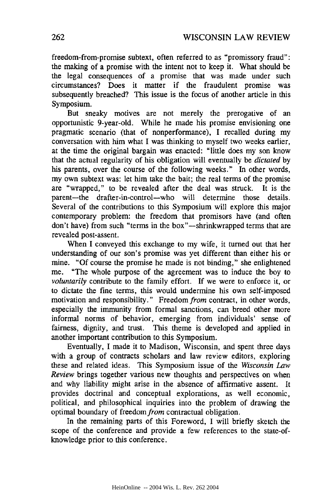freedom-from-promise subtext, often referred to as "promissory fraud": the making of a promise with the intent not to keep it. What should be the legal consequences of a promise that was made under such circumstances? Does it matter if the fraudulent promise was subsequently breached? This issue is the focus of another article in this Symposium.

But sneaky motives are not merely the prerogative of an opportunistic 9-year-old. While he made his promise envisioning one pragmatic scenario (that of nonperformance), I recalled during my conversation with him what I was thinking to myself two weeks earlier, at the time the original bargain was enacted: "little does my son know that the actual regularity of his obligation will eventually be *dictated* by his parents, over the course of the following weeks." In other words, my own subtext was: let him take the bait; the real terms of the promise are "wrapped," to be revealed after the deal was struck. It is the parent-the drafter-in-control-who will determine those details. Several of the contributions to this Symposium will explore this major contemporary problem: the freedom that promisors have (and often don't have) from such "terms in the box"-shrinkwrapped terms that are revealed post-assent.

When I conveyed this exchange to my wife, it turned out that her understanding of our son's promise was yet different than either his or mine. "Of course the promise he made is not binding," she enlightened me. "The whole purpose of the agreement was to induce the boy to *voluntarily* contribute to the family effort. If we were to enforce it, or to dictate the fine terms, this would undermine his own self-imposed motivation and responsibility." Freedom from contract, in other words, especially the immunity from formal sanctions, can breed other more informal norms of behavior, emerging from individuals' sense of fairness, dignity, and trust. This theme is developed and applied in another important contribution to this Symposium.

Eventually, I made it to Madison, Wisconsin, and spent three days with a group of contracts scholars and law review editors, exploring these and related ideas. This Symposium issue of the *Wisconsin Law Review* brings together various new thoughts and perspectives on when and why liability might arise in the absence of affirmative assent. It provides doctrinal and conceptual explorations, as well economic, political, and philosophical inquiries into the problem of drawing the optimal boundary of freedom from contractual obligation.

In the remaining parts of this Foreword, I will briefly sketch the scope of the conference and provide a few references to the state-ofknowledge prior to this conference.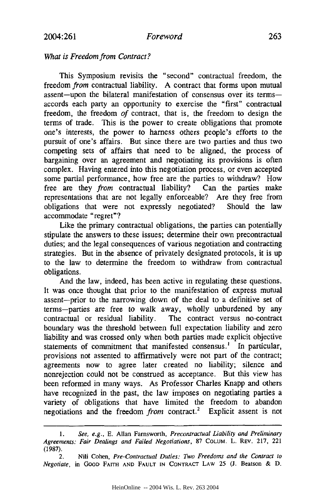#### *Foreword*

#### *What is Freedom from Contract?*

This Symposium revisits the "second" contractual freedom, the freedom *from* contractual liability. A contract that forms upon mutual assent-upon the bilateral manifestation of consensus over its termsaccords each party an opportunity to exercise the "first" contractual freedom, the freedom *of* contract, that is, the freedom to design the terms of trade. This is the power to create obligations that promote one's interests, the power to harness others people's efforts to the pursuit of one's affairs. But since there are two parties and thus two competing sets of affairs that need to be aligned, the process of bargaining over an agreement and negotiating its provisions is often complex. Having entered into this negotiation process, or even accepted some partial performance, how free are the parties to withdraw? How free are they *from* contractual liability? Can the parties make representations that are not legally enforceable? Are they free from obligations that were not expressly negotiated? Should the law accommodate "regret"?

Like the primary contractual obligations, the parties can potentially stipulate the answers to these issues; determine their own precontractual duties; and the legal consequences of various negotiation and contracting strategies. But in the absence of privately designated protocols, it is up to the law to determine the freedom to withdraw from contractual obligations.

And the law, indeed, has been active in regulating these questions. It was once thought that prior to the manifestation of express mutual assent-prior to the narrowing down of the deal to a definitive set of terms-parties are free to walk away, wholly unburdened by any contractual or residual liability. The contract versus no-contract boundary was the threshold between full expectation liability and zero liability and was crossed only when both parties made explicit objective statements of commitment that manifested consensus.' In particular, provisions not assented to affirmatively were not part of the contract; agreements now to agree later created no liability; silence and nonrejection could not be construed as acceptance. But this view has been reformed in many ways. As Professor Charles Knapp and others have recognized in the past, the law imposes on negotiating parties a variety of obligations that have limited the freedom to abandon negotiations and the freedom *from* contract.2 Explicit assent is not

<sup>1.</sup> *See, e.g.,* E. Allan Farnsworth, *Precontractual Liability and Preliminary Agreements: Fair Dealings and Failed Negotiations,* 87 COLUM. L. REV. 217, 221 (1987).

<sup>2.</sup> Nili Cohen, *Pre-Contractual Duties: Two Freedoms and the Contract to Negotiate,* in **GOOD** FAITH **AND FAULT IN CONTRACT** LAW **25 (J.** Beatson & D.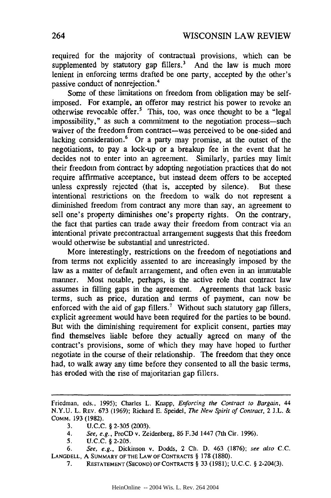required for the majority of contractual provisions, which can be supplemented by statutory gap fillers.<sup>3</sup> And the law is much more lenient in enforcing terms drafted be one party, accepted by the other's passive conduct of nonrejection.<sup>4</sup>

Some of these limitations on freedom from obligation may be selfimposed. For example, an offeror may restrict his power to revoke an otherwise revocable offer.5 This, too, was once thought to be a "legal impossibility," as such a commitment to the negotiation process--such waiver of the freedom from contract-was perceived to be one-sided and lacking consideration. $6$  Or a party may promise, at the outset of the negotiations, to pay a lock-up or a breakup fee in the event that he decides not to enter into an agreement. Similarly, parties may limit their freedom from contract by adopting negotiation practices that do not require affirmative acceptance, but instead deem offers to be accepted unless expressly rejected (that is, accepted by silence). But these intentional restrictions on the freedom to walk do not represent a diminished freedom from contract any more than say, an agreement to sell one's property diminishes one's property rights. On the contrary, the fact that parties can trade away their freedom from contract via an intentional private precontractual arrangement suggests that this freedom would otherwise be substantial and unrestricted.

More interestingly, restrictions on the freedom of negotiations and from terms not explicitly assented to are increasingly imposed by the law as a matter of default arrangement, and often even in an immutable manner. Most notable, perhaps, is the active role that contract law assumes in filling gaps in the agreement. Agreements that lack basic terms, such as price, duration and terms of payment, can now be enforced with the aid of gap fillers.<sup>7</sup> Without such statutory gap fillers, explicit agreement would have been required for the parties to be bound. But with the diminishing requirement for explicit consent, parties may find themselves liable before they actually agreed on many of the contract's provisions, some of which they may have hoped to further negotiate in the course of their relationship. The freedom that they once had, to walk away any time before they consented to all the basic terms, has eroded with the rise of majoritarian gap fillers.

*6. See, e.g.,* Dickinson v. Dodds, 2 Ch. D. 463 (1876); *see also* **C.C. LANGDELL, A** SUMMARY **OF THE LAW OF CONTRACTS** § 178 (1880).

Friedman, eds., 1995); Charles L. Knapp, *Enforcing the Contract to Bargain, 44* N.Y.U. L. REV. 673 (1969); Richard E. Speidel, *The New Spirit of Contract,* 2 J.L. & COMM. **193 (1982).**

**<sup>3.</sup>** U.C.C. § **2-305** (2003).

*<sup>4.</sup> See, e.g.,* ProCD v. Zeidenberg, 86 F.3d 1447 (7th Cir. 1996).

<sup>5.</sup> U.C.C. **§** 2-205.

<sup>7.</sup> **RESTATEMENT(SECOND)** OF **CONTRACTS** § **33 (1981); U.C.C.** § 2-204(3).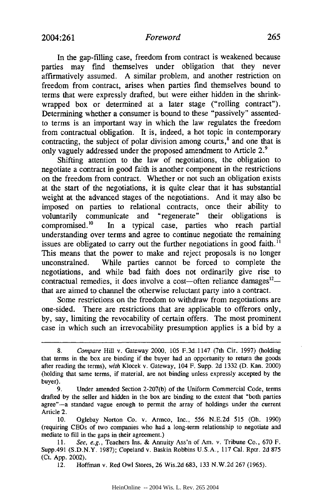#### *Foreword*

In the gap-filling case, freedom from contract is weakened because parties may find themselves under obligation that they never affirmatively assumed. A similar problem, and another restriction on freedom from contract, arises when parties find themselves bound to terms that were expressly drafted, but were either hidden in the shrinkwrapped box or determined at a later stage ("rolling contract"). Determining whether a consumer is bound to these "passively" assentedto terms is an important way in which the law regulates the freedom from contractual obligation. It is, indeed, a hot topic in contemporary contracting, the subject of polar division among courts,<sup>8</sup> and one that is only vaguely addressed under the proposed amendment to Article **2.9**

Shifting attention to the law of negotiations, the obligation to negotiate a contract in good faith is another component in the restrictions on the freedom from contract. Whether or not such an obligation exists at the start of the negotiations, it is quite clear that it has substantial weight at the advanced stages of the negotiations. And it may also be imposed on parties to relational contracts, once their ability to voluntarily communicate and "regenerate" their obligations is compromised.'0 In a typical case, parties who reach partial understanding over terms and agree to continue negotiate the remaining issues are obligated to carry out the further negotiations in good faith."' This means that the power to make and reject proposals is no longer unconstrained. While parties cannot be forced to complete the negotiations, and while bad faith does not ordinarily give rise to contractual remedies, it does involve a cost-often reliance damages $12$ that are aimed to channel the otherwise reluctant party into a contract.

Some restrictions on the freedom to withdraw from negotiations are one-sided. There are restrictions that are applicable to offerors only, by, say, limiting the revocability of certain offers. The most prominent case in which such an irrevocability presumption applies is a bid by a

<sup>8.</sup> *Compare* Hill v. Gateway 2000, 105 F.3d 1147 (7th Cir. 1997) (holding that terms in the box are binding if the buyer had an opportunity to return the goods after reading the terms), *with* Klocek v. Gateway, 104 F. Supp. 2d 1332 (D. Kan. 2000) (holding that same terms, if material, are not binding unless expressly accepted by the buyer).

<sup>9.</sup> Under amended Section 2-207(b) of the Uniform Commercial Code, terms drafted by the seller and hidden in the box are binding to the extent that "both parties agree"-a standard vague enough to permit the array of holdings under the current Article 2.

<sup>10.</sup> Oglebay Norton Co. v. Armco, Inc., 556 N.E.2d 515 (Oh. 1990) (requiring CEOs of two companies who had a long-term relationship to negotiate and mediate to fill in the gaps in their agreement.)

<sup>11.</sup> *See, e.g.,* Teachers Ins. & Annuity Ass'n of Am. v. Tribune Co., 670 F. Supp.491 (S.D.N.Y. 1987); Copeland v. Baskin Robbins U.S.A., 117 Cal. Rptr. 2d 875 (Ct. App. 2002).

<sup>12.</sup> Hoffman v. Red Owl Stores, 26 Wis.2d 683, 133 N.W.2d 267 (1965).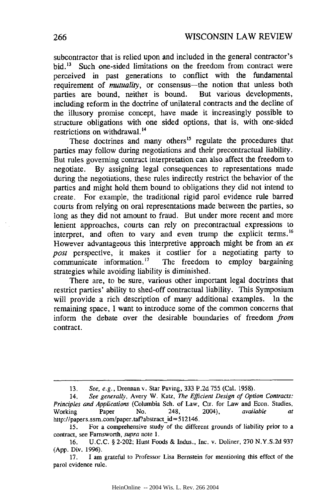subcontractor that is relied upon and included in the general contractor's bid.<sup>13</sup> Such one-sided limitations on the freedom from contract were perceived in past generations to conflict with the fundamental requirement of *mutuality*, or consensus—the notion that unless both parties are bound, neither is bound. But various developments, including reform in the doctrine of unilateral contracts and the decline of the illusory promise concept, have made it increasingly possible to structure obligations with one sided options, that is, with one-sided restrictions on withdrawal.14

These doctrines and many others<sup>15</sup> regulate the procedures that parties may follow during negotiations and their precontractual liability. But rules governing contract interpretation can also affect the freedom to negotiate. By assigning legal consequences to representations made during the negotiations, these rules indirectly restrict the behavior of the parties and might hold them bound to obligations they did not intend to create. For example, the traditional rigid parol evidence rule barred courts from relying on oral representations made between the parties, so long as they did not amount to fraud. But under more recent and more lenient approaches, courts can rely on precontractual expressions to interpret, and often to vary and even trump the explicit terms. **<sup>16</sup>** However advantageous this interpretive approach might be from an *ex post* perspective, it makes it costlier for a negotiating party to communicate information.<sup>17</sup> The freedom to employ bargaining strategies while avoiding liability is diminished.

There are, to be sure, various other important legal doctrines that restrict parties' ability to shed-off contractual liability. This Symposium will provide a rich description of many additional examples. In the remaining space, I want to introduce some of the common concerns that inform the debate over the desirable boundaries of freedom *from* contract.

<sup>13.</sup> *See, e.g.,* Drennan v. Star Paving, 333 P.2d 755 (Cal. 1958).

<sup>14,</sup> *See generally,* Avery W. Katz, *The Efficient Design of Option Contracts: Principles and Applications* (Columbia Sch. of Law, Ctr. for Law and Econ. Studies, Working Paper No. 248, 2004), *available at* http://papers.ssrn.com/paper.taf?abstract-id=512146.

<sup>15.</sup> For a comprehensive study of the different grounds of liability prior to a contract, see Farnsworth, *supra* note 1.

<sup>16.</sup> U.C.C. § 2-202; Hunt Foods & Indus., Inc. v. Doliner, 270 N.Y.S.2d 937 (App. Div. 1996).

<sup>17.</sup> **1** am grateful to Professor Lisa Bernstein for mentioning this effect of the parol evidence rule.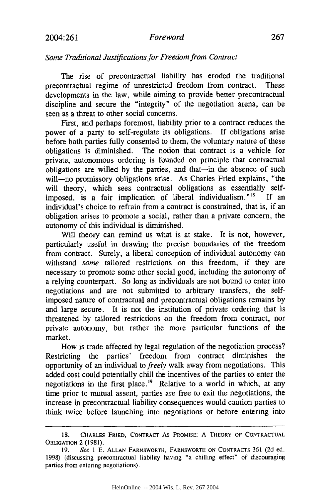#### 2004:261 *Foreword* 267

#### *Some Traditional Justifications for Freedom from Contract*

The rise of precontractual liability has eroded the traditional precontractual regime of unrestricted freedom from contract. These developments in the law, while aiming to provide better precontractual discipline and secure the "integrity" of the negotiation arena, can be seen as a threat to other social concerns.

First, and perhaps foremost, liability prior to a contract reduces the power of a party to self-regulate its obligations. If obligations arise before both parties fully consented to them, the voluntary nature of these obligations is diminished. The notion that contract is a vehicle for private, autonomous ordering is founded on principle that contractual obligations are willed by the parties, and that-in the absence of such will-no promissory obligations arise. As Charles Fried explains, "the will theory, which sees contractual obligations as essentially selfimposed, is a fair implication of liberal individualism."<sup>18</sup> If an individual's choice to refrain from a contract is constrained, that is, if an obligation arises to promote a social, rather than a private concern, the autonomy of this individual is diminished.

Will theory can remind us what is at stake. It is not, however, particularly useful in drawing the precise boundaries of the freedom from contract. Surely, a liberal conception of individual autonomy can withstand *some* tailored restrictions on this freedom, if they are necessary to promote some other social good, including the autonomy of a relying counterpart. So long as individuals are not bound to enter into negotiations and are not submitted to arbitrary transfers, the selfimposed nature of contractual and precontractual obligations remains by and large secure. It is not the institution of private ordering that is threatened by tailored restrictions on the freedom from contract, nor private autonomy, but rather the more particular functions of the market.

How is trade affected by legal regulation of the negotiation process? Restricting the parties' freedom from contract diminishes the opportunity of an individual to *freely* walk away from negotiations. This added cost could potentially chill the incentives of the parties to enter the negotiations in the first place.<sup>19</sup> Relative to a world in which, at any time prior to mutual assent, parties are free to exit the negotiations, the increase in precontractual liability consequences would caution parties to think twice before launching into negotiations or before entering into

<sup>18.</sup> CHARLES FRIED, CONTRACT **As** PROMISE: A THEORY OF **CONTRACTUAL OBLIGATION** 2 (1981).

**<sup>19.</sup>** See 1 E. **ALLAN** FARNSWORTH, FARNSWORTH **ON** CONTRACTS **361 (2d** ed. 1998) (discussing precontractual liability having "a chilling effect" of discouraging parties from entering negotiations).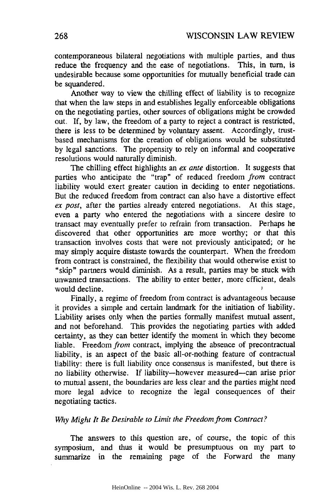contemporaneous bilateral negotiations with multiple parties, and thus reduce the frequency and the ease of negotiations. This, in turn, is undesirable because some opportunities for mutually beneficial trade can be squandered.

Another way to view the chilling effect of liability is to recognize that when the law steps in and establishes legally enforceable obligations on the negotiating parties, other sources of obligations might be crowded out. If, by law, the freedom of a party to reject a contract is restricted, there is less to be determined by voluntary assent. Accordingly, trustbased mechanisms for the creation of obligations would be substituted by legal sanctions. The propensity to rely on informal and cooperative resolutions would naturally diminish.

The chilling effect highlights an *ex ante* distortion. It suggests that parties who anticipate the "trap" of reduced freedom *from* contract liability would exert greater caution in deciding to enter negotiations. But the reduced freedom from contract can also have a distortive effect *ex post,* after the parties already entered negotiations. At this stage, even a party who entered the negotiations with a sincere desire to transact may eventually prefer to refrain from transaction. Perhaps he discovered that other opportunities are more worthy; or that this transaction involves costs that were not previously anticipated; or he may simply acquire distaste towards the counterpart. When the freedom from contract is constrained, the flexibility that would otherwise exist to "skip" partners would diminish. As a result, parties may be stuck with unwanted transactions. The ability to enter better, more efficient, deals would decline.

Finally, a regime of freedom from contract is advantageous because it provides a simple and certain landmark for the initiation of liability. Liability arises only when the parties formally manifest mutual assent, and not beforehand. This provides the negotiating parties with added certainty, as they can better identify the moment in which they become liable. Freedom *from* contract, implying the absence of precontractual liability, is an aspect of the basic all-or-nothing feature of contractual liability: there is full liability once consensus is manifested, but there is no liability otherwise. If liability-however measured-can arise prior to mutual assent, the boundaries are less clear and the parties might need more legal advice to recognize the legal consequences of their negotiating tactics.

#### *Why Might It Be Desirable to Limit the Freedom from Contract?*

The answers to this question are, of course, the topic of this symposium, and thus it would be presumptuous on my part to summarize in the remaining page of the Forward the many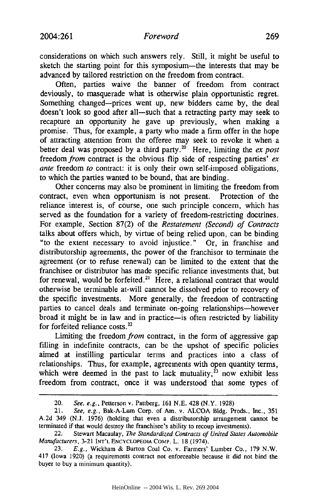considerations on which such answers rely. Still, it might be useful to sketch the starting point for this symposium—the interests that may be advanced by tailored restriction on the freedom from contract.

Often, parties waive the banner of freedom from contract deviously, to masquerade what is otherwise plain opportunistic regret. Something changed-prices went up, new bidders came by, the deal doesn't look so good after all-such that a retracting party may seek to recapture an opportunity he gave up previously, when making a promise. Thus, for example, a party who made a firm offer in the hope of attracting attention from the offeree may seek to revoke it when a better deal was proposed by a third party.<sup>20</sup> Here, limiting the *ex post* freedom *from* contract is the obvious flip side of respecting parties' *ex ante* freedom *to* contract: it is only their own self-imposed obligations, to which the parties wanted to be bound, that are binding.

Other concerns may also be prominent in limiting the freedom from contract, even when opportunism is not present. Protection of the reliance interest is, of course, one such principle concern, which has served as the foundation for a variety of freedom-restricting doctrines. For example, Section 87(2) of the *Restatement (Second) of Contracts* talks about offers which, by virtue of being relied upon, can be binding "to the extent necessary to avoid injustice." Or, in franchise and distributorship agreements, the power of the franchisor to terminate the agreement (or to refuse renewal) can be limited to the extent that the franchisee or distributor has made specific reliance investments that, but for renewal, would be forfeited.<sup>21</sup> Here, a relational contract that would otherwise be terminable at-will cannot be dissolved prior to recovery of the specific investments. More generally, the freedom of contracting parties to cancel deals and terminate on-going relationships-however broad it might be in law and in practice-is often restricted by liability for forfeited reliance costs.<sup>22</sup>

Limiting the freedom *from* contract, in the form of aggressive gap filling in indefinite contracts, can be the upshot of specific policies aimed at instilling particular terms and practices into a class of relationships. Thus, for example, agreements with open quantity terms, which were deemed in the past to lack mutuality,  $23$  now exhibit less freedom from contract, once it was understood that some types of

<sup>20.</sup> *See, e.g.,* Petterson v. Pattberg, 161 N.E. 428 (N.Y. 1928)

<sup>21.</sup> *See, e.g.,* Bak-A-Lum Corp. of Am. v. ALCOA Bldg. Prods., Inc., 351 A.2d 349 (N.J. 1976) (holding that even a distributorship arrangement cannot be terminated if that would destroy the franchisee's ability to recoup investments).

<sup>22.</sup> Stewart Macaulay, *The Standardized Contracts of United States Automobile* Manufacturers, 3-21 **INT'L** ENCYCLOPEDIA CoMP. L. 18 (1974).

<sup>23.</sup> *E.g.,* Wickham **&** Burton Coal Co. v. Farmers' Lumber Co., 179 N.W. 417 (Iowa 1920) (a requirements contract not enforceable because it did not bind the buyer to buy a minimum quantity).